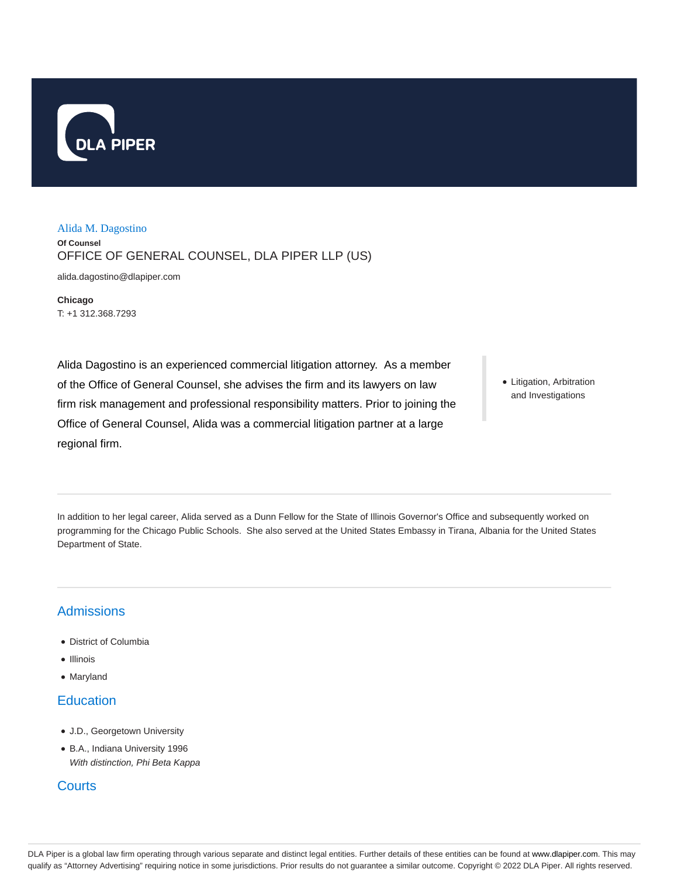

## Alida M. Dagostino

**Of Counsel**

OFFICE OF GENERAL COUNSEL, DLA PIPER LLP (US)

alida.dagostino@dlapiper.com

**Chicago** T: +1 312.368.7293

Alida Dagostino is an experienced commercial litigation attorney. As a member of the Office of General Counsel, she advises the firm and its lawyers on law firm risk management and professional responsibility matters. Prior to joining the Office of General Counsel, Alida was a commercial litigation partner at a large regional firm.

• Litigation, Arbitration and Investigations

In addition to her legal career, Alida served as a Dunn Fellow for the State of Illinois Governor's Office and subsequently worked on programming for the Chicago Public Schools. She also served at the United States Embassy in Tirana, Albania for the United States Department of State.

## Admissions

- District of Columbia
- Illinois
- Maryland

## **Education**

- J.D., Georgetown University
- B.A., Indiana University 1996 With distinction, Phi Beta Kappa

## **Courts**

DLA Piper is a global law firm operating through various separate and distinct legal entities. Further details of these entities can be found at www.dlapiper.com. This may qualify as "Attorney Advertising" requiring notice in some jurisdictions. Prior results do not guarantee a similar outcome. Copyright © 2022 DLA Piper. All rights reserved.